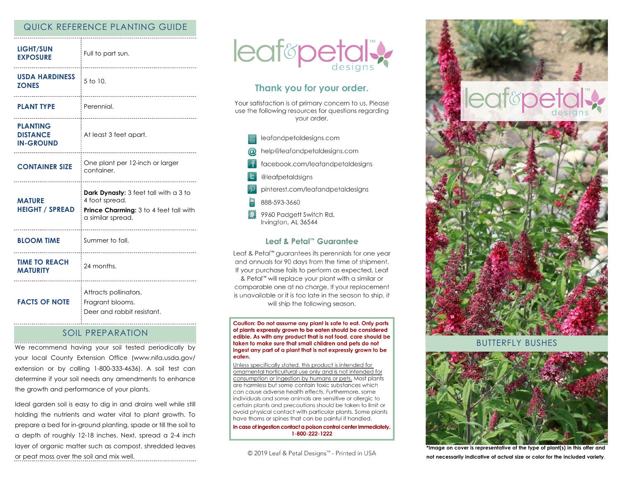# QUICK REFERENCE PLANTING GUIDE

| <b>LIGHT/SUN</b><br><b>EXPOSURE</b>                    | Full to part sun.                                                                                                      |
|--------------------------------------------------------|------------------------------------------------------------------------------------------------------------------------|
| <b>USDA HARDINESS</b><br><b>ZONES</b>                  | 5 to 10.                                                                                                               |
| <b>PLANT TYPE</b>                                      | Perennial.                                                                                                             |
| <b>PLANTING</b><br><b>DISTANCE</b><br><b>IN-GROUND</b> | At least 3 feet apart.                                                                                                 |
| <b>CONTAINER SIZE</b>                                  | One plant per 12-inch or larger<br>container.                                                                          |
|                                                        |                                                                                                                        |
| <b>MATURE</b><br><b>HEIGHT / SPREAD</b>                | Dark Dynasty: 3 feet tall with a 3 to<br>4 foot spread.<br>Prince Charming: 3 to 4 feet tall with<br>a similar spread. |
| <b>BLOOM TIME</b>                                      | ------------------------<br>Summer to fall.                                                                            |
| <b>TIME TO REACH</b><br><b>MATURITY</b>                | ------------------------------<br>24 months.                                                                           |

## SOIL PREPARATION

We recommend having your soil tested periodically by your local County Extension Office (www.nifa.usda.gov/ extension or by calling 1-800-333-4636). A soil test can determine if your soil needs any amendments to enhance the growth and performance of your plants.

Ideal garden soil is easy to dig in and drains well while still holding the nutrients and water vital to plant growth. To prepare a bed for in-ground planting, spade or till the soil to a depth of roughly 12-18 inches. Next, spread a 2-4 inch layer of organic matter such as compost, shredded leaves or peat moss over the soil and mix well.



# Thank you for your order.

Your satisfaction is of primary concern to us. Please use the following resources for questions regarding vour order.

- leafandpetaldesigns.com nelp@leafandpetaldesigns.com facebook.com/leafandpetaldesigns @leafpetaldsigns pinterest.com/leafandpetaldesigns 888-593-3660
	- 9960 Padgett Switch Rd. Irvington, AL 36544

### Leaf & Petal™ Guarantee

Leaf & Petal<sup>™</sup> guarantees its perennials for one year and annuals for 90 days from the time of shipment. If your purchase fails to perform as expected, Leaf & Petal<sup>™</sup> will replace your plant with a similar or comparable one at no charge. If your replacement is unavailable or it is too late in the season to ship, it will ship the following season.

Caution: Do not assume any plant is safe to eat. Only parts of plants expressly grown to be eaten should be considered edible. As with any product that is not food, care should be taken to make sure that small children and pets do not ingest any part of a plant that is not expressly grown to be eaten.

Unless specifically stated, this product is intended for ornamental horticultural use only and is not intended for consumption or ingestion by humans or pets. Most plants are harmless but some contain toxic substances which can cause adverse health effects. Furthermore, some individuals and some animals are sensitive or allergic to certain plants and precautions should be taken to limit or avoid physical contact with particular plants. Some plants have thorns or spines that can be painful if handled.

In case of ingestion contact a poison control center immediately. 1-800-222-1222

© 2019 Leaf & Petal Designs™ - Printed in USA



BUTTERFLY BUSHES



**\*Image on cover is representative of the type of plant(s) in this offer and not necessarily indicative of actual size or color for the included variety**.